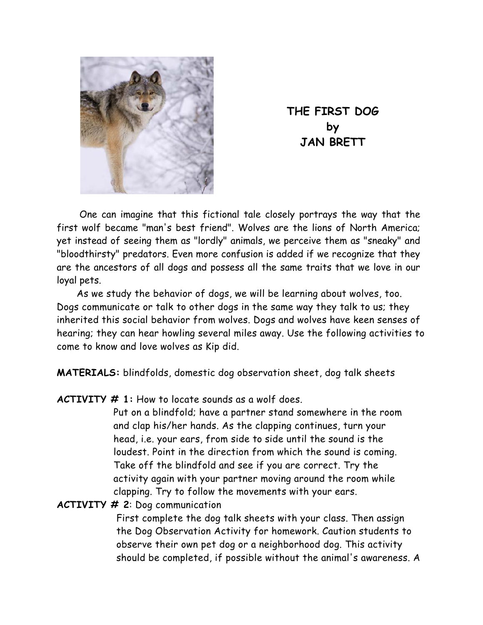

**THE FIRST DOG by JAN BRETT** 

One can imagine that this fictional tale closely portrays the way that the first wolf became "man's best friend". Wolves are the lions of North America; yet instead of seeing them as "lordly" animals, we perceive them as "sneaky" and "bloodthirsty" predators. Even more confusion is added if we recognize that they are the ancestors of all dogs and possess all the same traits that we love in our loyal pets.

As we study the behavior of dogs, we will be learning about wolves, too. Dogs communicate or talk to other dogs in the same way they talk to us; they inherited this social behavior from wolves. Dogs and wolves have keen senses of hearing; they can hear howling several miles away. Use the following activities to come to know and love wolves as Kip did.

**MATERIALS:** blindfolds, domestic dog observation sheet, dog talk sheets

**ACTIVITY # 1:** How to locate sounds as a wolf does.

Put on a blindfold; have a partner stand somewhere in the room and clap his/her hands. As the clapping continues, turn your head, i.e. your ears, from side to side until the sound is the loudest. Point in the direction from which the sound is coming. Take off the blindfold and see if you are correct. Try the activity again with your partner moving around the room while clapping. Try to follow the movements with your ears.

**ACTIVITY # 2**: Dog communication

First complete the dog talk sheets with your class. Then assign the Dog Observation Activity for homework. Caution students to observe their own pet dog or a neighborhood dog. This activity should be completed, if possible without the animal's awareness. A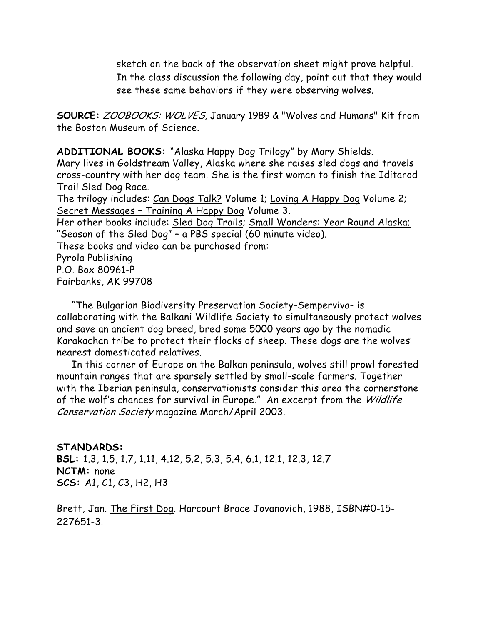sketch on the back of the observation sheet might prove helpful. In the class discussion the following day, point out that they would see these same behaviors if they were observing wolves.

**SOURCE:** ZOOBOOKS: WOLVES, January 1989 & "Wolves and Humans" Kit from the Boston Museum of Science.

**ADDITIONAL BOOKS:** "Alaska Happy Dog Trilogy" by Mary Shields.

Mary lives in Goldstream Valley, Alaska where she raises sled dogs and travels cross-country with her dog team. She is the first woman to finish the Iditarod Trail Sled Dog Race.

The trilogy includes: Can Dogs Talk? Volume 1; Loving A Happy Dog Volume 2; Secret Messages – Training A Happy Dog Volume 3.

Her other books include: Sled Dog Trails; Small Wonders: Year Round Alaska; "Season of the Sled Dog" – a PBS special (60 minute video).

These books and video can be purchased from:

Pyrola Publishing P.O. Box 80961-P Fairbanks, AK 99708

 "The Bulgarian Biodiversity Preservation Society-Semperviva- is collaborating with the Balkani Wildlife Society to simultaneously protect wolves and save an ancient dog breed, bred some 5000 years ago by the nomadic Karakachan tribe to protect their flocks of sheep. These dogs are the wolves' nearest domesticated relatives.

 In this corner of Europe on the Balkan peninsula, wolves still prowl forested mountain ranges that are sparsely settled by small-scale farmers. Together with the Iberian peninsula, conservationists consider this area the cornerstone of the wolf's chances for survival in Europe." An excerpt from the Wildlife Conservation Society magazine March/April 2003.

#### **STANDARDS:**

**BSL:** 1.3, 1.5, 1.7, 1.11, 4.12, 5.2, 5.3, 5.4, 6.1, 12.1, 12.3, 12.7 **NCTM:** none **SCS:** A1, C1, C3, H2, H3

Brett, Jan. The First Dog. Harcourt Brace Jovanovich, 1988, ISBN#0-15- 227651-3.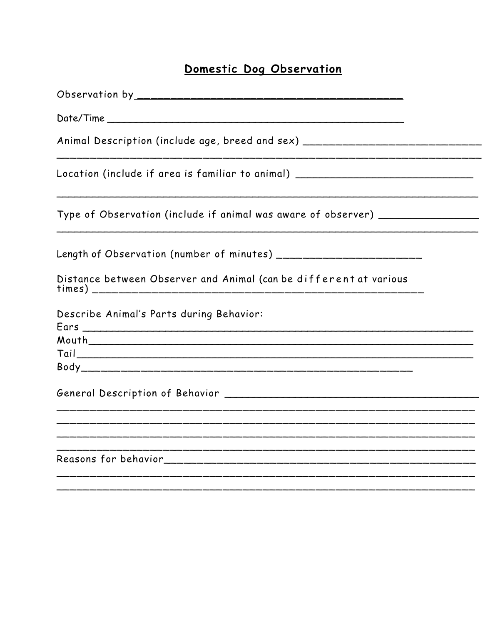## Domestic Dog Observation

| Animal Description (include age, breed and sex) ________________________________ |
|----------------------------------------------------------------------------------|
| Location (include if area is familiar to animal) _______________________________ |
| Type of Observation (include if animal was aware of observer) __________________ |
|                                                                                  |
| Distance between Observer and Animal (can be different at various                |
| Describe Animal's Parts during Behavior:                                         |
|                                                                                  |
|                                                                                  |
|                                                                                  |
|                                                                                  |
|                                                                                  |
|                                                                                  |
|                                                                                  |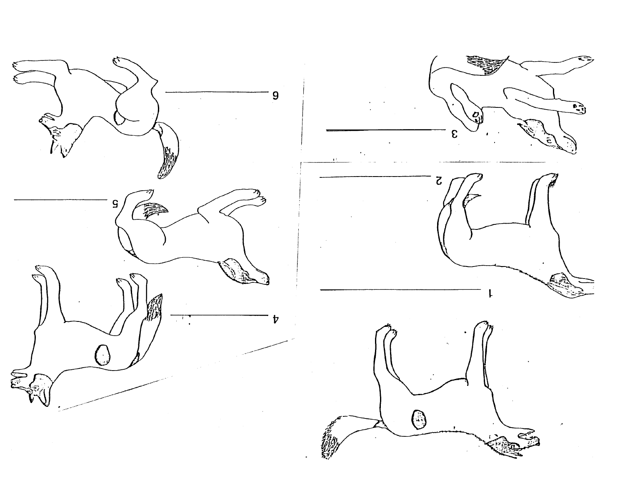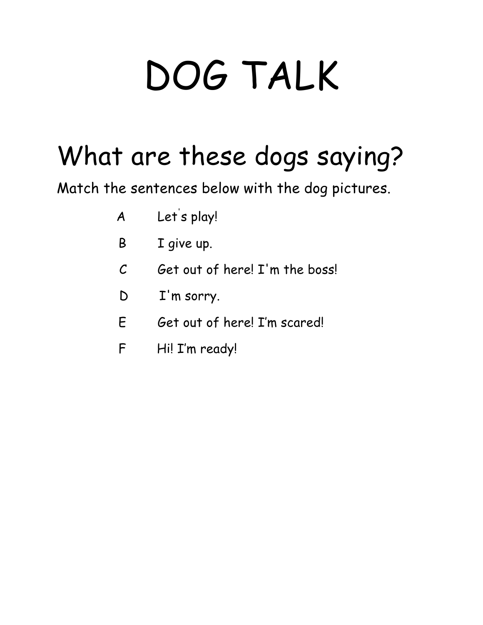# DOG TALK

# What are these dogs saying?

Match the sentences below with the dog pictures.

- A Let' s play!
- B I give up.
- $C$  Get out of here! I'm the boss!
- D I'm sorry.
- E Get out of here! I'm scared!
- F Hi! I'm ready!